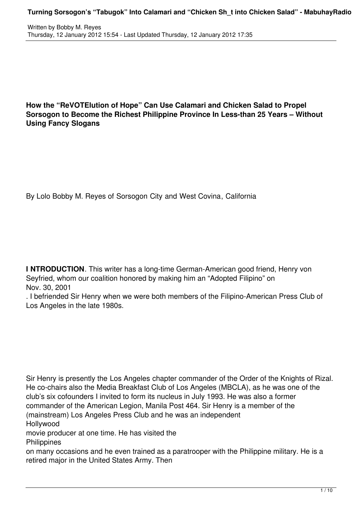**How the "ReVOTElution of Hope" Can Use Calamari and Chicken Salad to Propel Sorsogon to Become the Richest Philippine Province In Less-than 25 Years – Without Using Fancy Slogans**

By Lolo Bobby M. Reyes of Sorsogon City and West Covina, California

**I NTRODUCTION**. This writer has a long-time German-American good friend, Henry von Seyfried, whom our coalition honored by making him an "Adopted Filipino" on Nov. 30, 2001

. I befriended Sir Henry when we were both members of the Filipino-American Press Club of Los Angeles in the late 1980s.

Sir Henry is presently the Los Angeles chapter commander of the Order of the Knights of Rizal. He co-chairs also the Media Breakfast Club of Los Angeles (MBCLA), as he was one of the club's six cofounders I invited to form its nucleus in July 1993. He was also a former commander of the American Legion, Manila Post 464. Sir Henry is a member of the (mainstream) Los Angeles Press Club and he was an independent Hollywood

movie producer at one time. He has visited the **Philippines** 

on many occasions and he even trained as a paratrooper with the Philippine military. He is a retired major in the United States Army. Then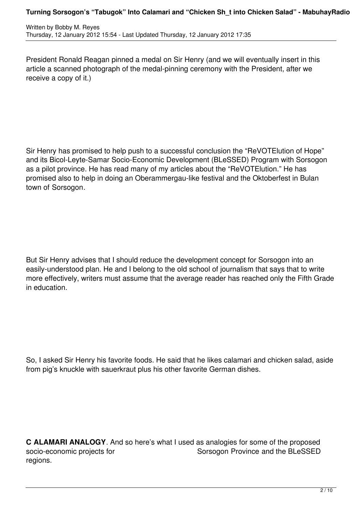President Ronald Reagan pinned a medal on Sir Henry (and we will eventually insert in this article a scanned photograph of the medal-pinning ceremony with the President, after we receive a copy of it.)

Sir Henry has promised to help push to a successful conclusion the "ReVOTElution of Hope" and its Bicol-Leyte-Samar Socio-Economic Development (BLeSSED) Program with Sorsogon as a pilot province. He has read many of my articles about the "ReVOTElution." He has promised also to help in doing an Oberammergau-like festival and the Oktoberfest in Bulan town of Sorsogon.

But Sir Henry advises that I should reduce the development concept for Sorsogon into an easily-understood plan. He and I belong to the old school of journalism that says that to write more effectively, writers must assume that the average reader has reached only the Fifth Grade in education.

So, I asked Sir Henry his favorite foods. He said that he likes calamari and chicken salad, aside from pig's knuckle with sauerkraut plus his other favorite German dishes.

**C ALAMARI ANALOGY**. And so here's what I used as analogies for some of the proposed socio-economic projects for Sorsogon Province and the BLeSSED regions.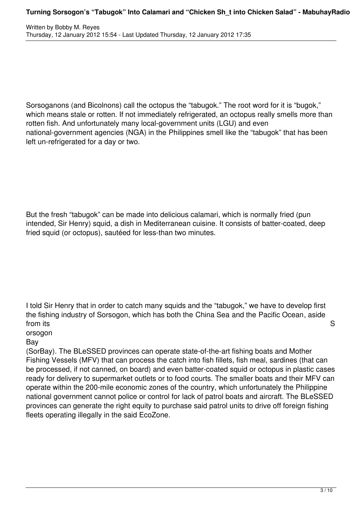Sorsoganons (and Bicolnons) call the octopus the "tabugok." The root word for it is "bugok," which means stale or rotten. If not immediately refrigerated, an octopus really smells more than rotten fish. And unfortunately many local-government units (LGU) and even national-government agencies (NGA) in the Philippines smell like the "tabugok" that has been left un-refrigerated for a day or two.

But the fresh "tabugok" can be made into delicious calamari, which is normally fried (pun intended, Sir Henry) squid, a dish in Mediterranean cuisine. It consists of batter-coated, deep fried squid (or octopus), sautéed for less-than two minutes.

I told Sir Henry that in order to catch many squids and the "tabugok," we have to develop first the fishing industry of Sorsogon, which has both the China Sea and the Pacific Ocean, aside from its Section 2012 **Section 2012** 

orsogon

Bay

(SorBay). The BLeSSED provinces can operate state-of-the-art fishing boats and Mother Fishing Vessels (MFV) that can process the catch into fish fillets, fish meal, sardines (that can be processed, if not canned, on board) and even batter-coated squid or octopus in plastic cases ready for delivery to supermarket outlets or to food courts. The smaller boats and their MFV can operate within the 200-mile economic zones of the country, which unfortunately the Philippine national government cannot police or control for lack of patrol boats and aircraft. The BLeSSED provinces can generate the right equity to purchase said patrol units to drive off foreign fishing fleets operating illegally in the said EcoZone.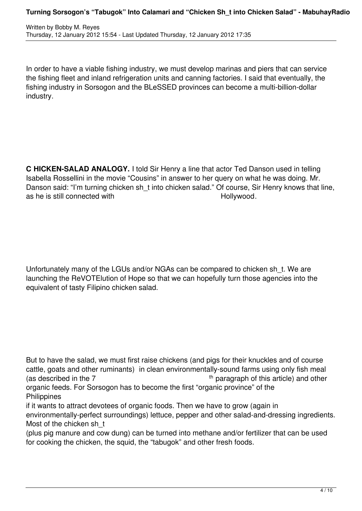In order to have a viable fishing industry, we must develop marinas and piers that can service the fishing fleet and inland refrigeration units and canning factories. I said that eventually, the fishing industry in Sorsogon and the BLeSSED provinces can become a multi-billion-dollar industry.

**C HICKEN-SALAD ANALOGY.** I told Sir Henry a line that actor Ted Danson used in telling Isabella Rossellini in the movie "Cousins" in answer to her query on what he was doing. Mr. Danson said: "I'm turning chicken sh\_t into chicken salad." Of course, Sir Henry knows that line, as he is still connected with  $H$ ollywood.

Unfortunately many of the LGUs and/or NGAs can be compared to chicken sh\_t. We are launching the ReVOTElution of Hope so that we can hopefully turn those agencies into the equivalent of tasty Filipino chicken salad.

But to have the salad, we must first raise chickens (and pigs for their knuckles and of course cattle, goats and other ruminants) in clean environmentally-sound farms using only fish meal (as described in the  $7$  th paragraph of this article) and other organic feeds. For Sorsogon has to become the first "organic province" of the **Philippines** 

if it wants to attract devotees of organic foods. Then we have to grow (again in

environmentally-perfect surroundings) lettuce, pepper and other salad-and-dressing ingredients. Most of the chicken sh\_t

(plus pig manure and cow dung) can be turned into methane and/or fertilizer that can be used for cooking the chicken, the squid, the "tabugok" and other fresh foods.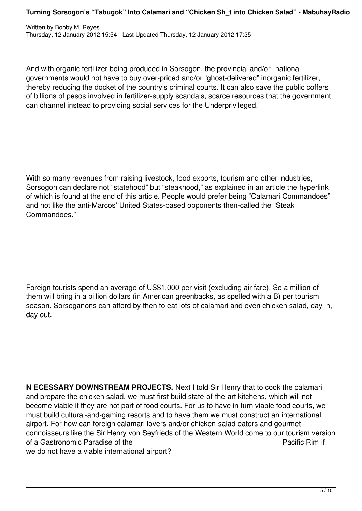And with organic fertilizer being produced in Sorsogon, the provincial and/or national governments would not have to buy over-priced and/or "ghost-delivered" inorganic fertilizer, thereby reducing the docket of the country's criminal courts. It can also save the public coffers of billions of pesos involved in fertilizer-supply scandals, scarce resources that the government can channel instead to providing social services for the Underprivileged.

With so many revenues from raising livestock, food exports, tourism and other industries, Sorsogon can declare not "statehood" but "steakhood," as explained in an article the hyperlink of which is found at the end of this article. People would prefer being "Calamari Commandoes" and not like the anti-Marcos' United States-based opponents then-called the "Steak Commandoes."

Foreign tourists spend an average of US\$1,000 per visit (excluding air fare). So a million of them will bring in a billion dollars (in American greenbacks, as spelled with a B) per tourism season. Sorsoganons can afford by then to eat lots of calamari and even chicken salad, day in, day out.

**N ECESSARY DOWNSTREAM PROJECTS.** Next I told Sir Henry that to cook the calamari and prepare the chicken salad, we must first build state-of-the-art kitchens, which will not become viable if they are not part of food courts. For us to have in turn viable food courts, we must build cultural-and-gaming resorts and to have them we must construct an international airport. For how can foreign calamari lovers and/or chicken-salad eaters and gourmet connoisseurs like the Sir Henry von Seyfrieds of the Western World come to our tourism version of a Gastronomic Paradise of the **Pacific Rim if** Pacific Rim if we do not have a viable international airport?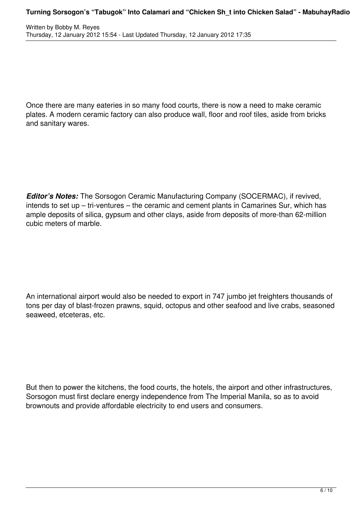Once there are many eateries in so many food courts, there is now a need to make ceramic plates. A modern ceramic factory can also produce wall, floor and roof tiles, aside from bricks and sanitary wares.

*Editor's Notes:* The Sorsogon Ceramic Manufacturing Company (SOCERMAC), if revived, intends to set up – tri-ventures – the ceramic and cement plants in Camarines Sur, which has ample deposits of silica, gypsum and other clays, aside from deposits of more-than 62-million cubic meters of marble.

An international airport would also be needed to export in 747 jumbo jet freighters thousands of tons per day of blast-frozen prawns, squid, octopus and other seafood and live crabs, seasoned seaweed, etceteras, etc.

But then to power the kitchens, the food courts, the hotels, the airport and other infrastructures, Sorsogon must first declare energy independence from The Imperial Manila, so as to avoid brownouts and provide affordable electricity to end users and consumers.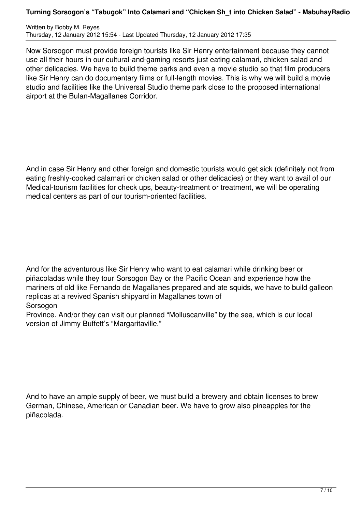## **Turning Sorsogon's "Tabugok" Into Calamari and "Chicken Sh\_t into Chicken Salad" - MabuhayRadio**

Written by Bobby M. Reyes Thursday, 12 January 2012 15:54 - Last Updated Thursday, 12 January 2012 17:35

Now Sorsogon must provide foreign tourists like Sir Henry entertainment because they cannot use all their hours in our cultural-and-gaming resorts just eating calamari, chicken salad and other delicacies. We have to build theme parks and even a movie studio so that film producers like Sir Henry can do documentary films or full-length movies. This is why we will build a movie studio and facilities like the Universal Studio theme park close to the proposed international airport at the Bulan-Magallanes Corridor.

And in case Sir Henry and other foreign and domestic tourists would get sick (definitely not from eating freshly-cooked calamari or chicken salad or other delicacies) or they want to avail of our Medical-tourism facilities for check ups, beauty-treatment or treatment, we will be operating medical centers as part of our tourism-oriented facilities.

And for the adventurous like Sir Henry who want to eat calamari while drinking beer or piñacoladas while they tour Sorsogon Bay or the Pacific Ocean and experience how the mariners of old like Fernando de Magallanes prepared and ate squids, we have to build galleon replicas at a revived Spanish shipyard in Magallanes town of **Sorsogon** 

Province. And/or they can visit our planned "Molluscanville" by the sea, which is our local version of Jimmy Buffett's "Margaritaville."

And to have an ample supply of beer, we must build a brewery and obtain licenses to brew German, Chinese, American or Canadian beer. We have to grow also pineapples for the piñacolada.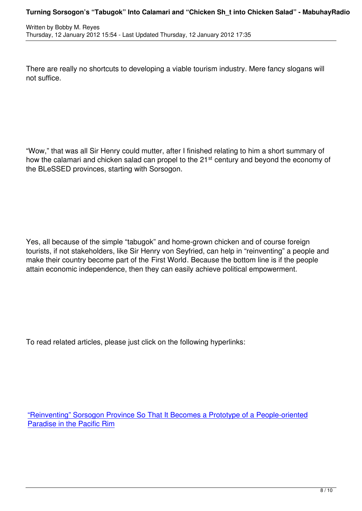There are really no shortcuts to developing a viable tourism industry. Mere fancy slogans will not suffice.

"Wow," that was all Sir Henry could mutter, after I finished relating to him a short summary of how the calamari and chicken salad can propel to the 21<sup>st</sup> century and beyond the economy of the BLeSSED provinces, starting with Sorsogon.

Yes, all because of the simple "tabugok" and home-grown chicken and of course foreign tourists, if not stakeholders, like Sir Henry von Seyfried, can help in "reinventing" a people and make their country become part of the First World. Because the bottom line is if the people attain economic independence, then they can easily achieve political empowerment.

To read related articles, please just click on the following hyperlinks:

"Reinventing" Sorsogon Province So That It Becomes a Prototype of a People-oriented Paradise in the Pacific Rim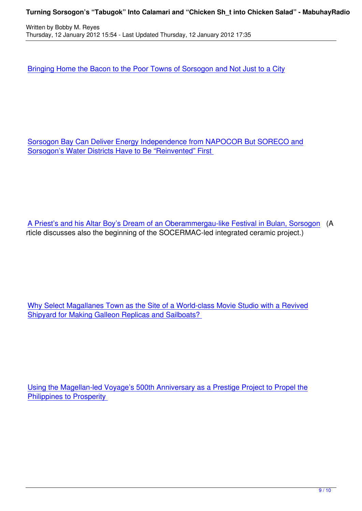Bringing Home the Bacon to the Poor Towns of Sorsogon and Not Just to a City

Sorsogon Bay Can Deliver Energy Independence from NAPOCOR But SORECO and Sorsogon's Water Districts Have to Be "Reinvented" First

A Priest's and his Altar Boy's Dream of an Oberammergau-like Festival in Bulan, Sorsogon (A rticle discusses also the beginning of the SOCERMAC-led integrated ceramic project.)

Why Select Magallanes Town as the Site of a World-class Movie Studio with a Revived Shipyard for Making Galleon Replicas and Sailboats?

Using the Magellan-led Voyage's 500th Anniversary as a Prestige Project to Propel the Philippines to Prosperity